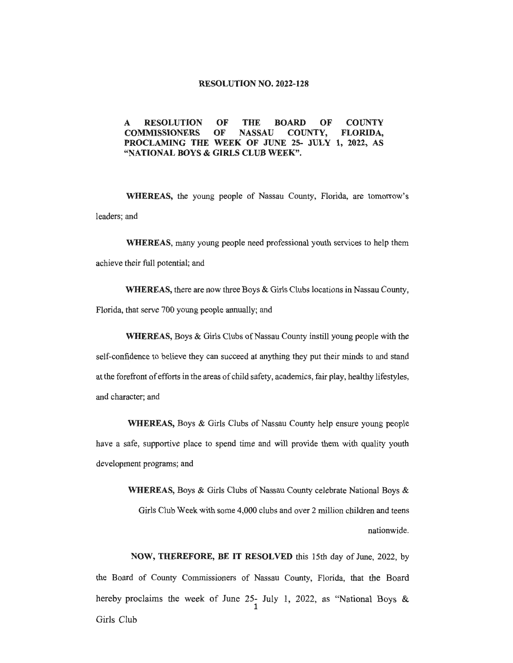## **RESOLUTION NO. 2022-128**

## **A RESOLUTION OF THE BOARD OF COUNTY COMMISSIONERS OF NASSAU COUNTY, FLORIDA, PROCLAMING THE WEEK OF JUNE 25- JULY 1, 2022, AS "NATIONAL BOYS & GIRLS CLUB WEEK".**

**WHEREAS,** the young people of Nassau County, Florida, are tomorrow's leaders; and

**WHEREAS,** many young people need professional youth services to help them achieve their full potential; and

**WHEREAS,** there are now three Boys & Girls Clubs locations in Nassau County, Florida, that serve 700 young people annually; and

**WHEREAS,** Boys & Girls Clubs of Nassau County instill young people with the self-confidence to believe they can succeed at anything they put their minds to and stand at the forefront of efforts in the areas of child safety, academics, fair play, healthy lifestyles, and character; and

**WHEREAS,** Boys & Girls Clubs of Nassau County help ensure young people have a safe, supportive place to spend time and will provide them with quality youth development programs; and

> **WHEREAS,** Boys & Girls Clubs of Nassau County celebrate National Boys & Girls Club Week with some 4,000 clubs and over 2 million children and teens nationwide.

**NOW, THEREFORE, BE IT RESOLVED** this 15th day of June, 2022, by the Board of County Commissioners of Nassau County, Florida, that the Board hereby proclaims the week of June 25- July 1, 2022, as "National Boys & 1 Girls Club